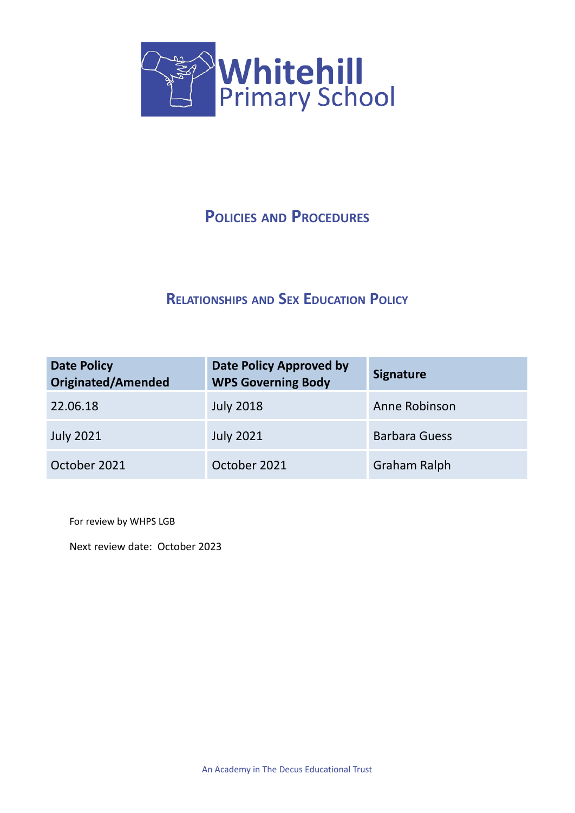

## **POLICIES AND PROCEDURES**

## **RELATIONSHIPS AND SEX EDUCATION POLICY**

| <b>Date Policy</b><br><b>Originated/Amended</b> | <b>Date Policy Approved by</b><br><b>WPS Governing Body</b> | <b>Signature</b>     |
|-------------------------------------------------|-------------------------------------------------------------|----------------------|
| 22.06.18                                        | <b>July 2018</b>                                            | Anne Robinson        |
| <b>July 2021</b>                                | <b>July 2021</b>                                            | <b>Barbara Guess</b> |
| October 2021                                    | October 2021                                                | Graham Ralph         |

For review by WHPS LGB

Next review date: October 2023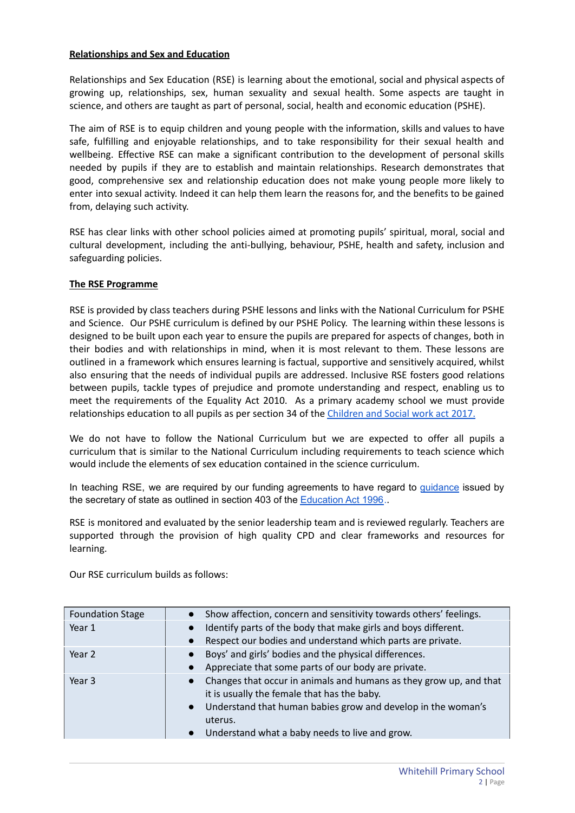## **Relationships and Sex and Education**

Relationships and Sex Education (RSE) is learning about the emotional, social and physical aspects of growing up, relationships, sex, human sexuality and sexual health. Some aspects are taught in science, and others are taught as part of personal, social, health and economic education (PSHE).

The aim of RSE is to equip children and young people with the information, skills and values to have safe, fulfilling and enjoyable relationships, and to take responsibility for their sexual health and wellbeing. Effective RSE can make a significant contribution to the development of personal skills needed by pupils if they are to establish and maintain relationships. Research demonstrates that good, comprehensive sex and relationship education does not make young people more likely to enter into sexual activity. Indeed it can help them learn the reasons for, and the benefits to be gained from, delaying such activity.

RSE has clear links with other school policies aimed at promoting pupils' spiritual, moral, social and cultural development, including the anti-bullying, behaviour, PSHE, health and safety, inclusion and safeguarding policies.

## **The RSE Programme**

RSE is provided by class teachers during PSHE lessons and links with the National Curriculum for PSHE and Science. Our PSHE curriculum is defined by our PSHE Policy. The learning within these lessons is designed to be built upon each year to ensure the pupils are prepared for aspects of changes, both in their bodies and with relationships in mind, when it is most relevant to them. These lessons are outlined in a framework which ensures learning is factual, supportive and sensitively acquired, whilst also ensuring that the needs of individual pupils are addressed. Inclusive RSE fosters good relations between pupils, tackle types of prejudice and promote understanding and respect, enabling us to meet the requirements of the Equality Act 2010. As a primary academy school we must provide relationships education to all pupils as per section 34 of the [Children](http://www.legislation.gov.uk/ukpga/2017/16/section/34/enacted) and Social work act 2017.

We do not have to follow the National Curriculum but we are expected to offer all pupils a curriculum that is similar to the National Curriculum including requirements to teach science which would include the elements of sex education contained in the science curriculum.

In teaching RSE, we are required by our funding agreements to have regard to quidance issued by the secretary of state as outlined in section 403 of the **[Education](http://www.legislation.gov.uk/ukpga/1996/56/contents) Act 1996**.

RSE is monitored and evaluated by the senior leadership team and is reviewed regularly. Teachers are supported through the provision of high quality CPD and clear frameworks and resources for learning.

Our RSE curriculum builds as follows:

| <b>Foundation Stage</b> | • Show affection, concern and sensitivity towards others' feelings.                                                                                                                                                                                                      |
|-------------------------|--------------------------------------------------------------------------------------------------------------------------------------------------------------------------------------------------------------------------------------------------------------------------|
| Year 1                  | Identify parts of the body that make girls and boys different.<br>Respect our bodies and understand which parts are private.<br>$\bullet$                                                                                                                                |
| Year 2                  | Boys' and girls' bodies and the physical differences.<br>Appreciate that some parts of our body are private.                                                                                                                                                             |
| Year 3                  | Changes that occur in animals and humans as they grow up, and that<br>$\bullet$<br>it is usually the female that has the baby.<br>Understand that human babies grow and develop in the woman's<br>$\bullet$<br>uterus.<br>Understand what a baby needs to live and grow. |